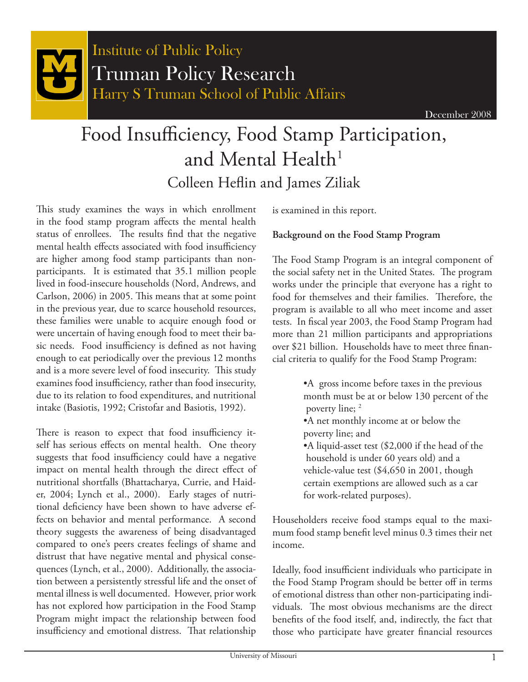

# Food Insufficiency, Food Stamp Participation, and Mental Health<sup>1</sup> Colleen Heflin and James Ziliak

This study examines the ways in which enrollment in the food stamp program affects the mental health status of enrollees. The results find that the negative mental health effects associated with food insufficiency are higher among food stamp participants than nonparticipants. It is estimated that 35.1 million people lived in food-insecure households (Nord, Andrews, and Carlson, 2006) in 2005. This means that at some point in the previous year, due to scarce household resources, these families were unable to acquire enough food or were uncertain of having enough food to meet their basic needs. Food insufficiency is defined as not having enough to eat periodically over the previous 12 months and is a more severe level of food insecurity. This study examines food insufficiency, rather than food insecurity, due to its relation to food expenditures, and nutritional intake (Basiotis, 1992; Cristofar and Basiotis, 1992).

There is reason to expect that food insufficiency itself has serious effects on mental health. One theory suggests that food insufficiency could have a negative impact on mental health through the direct effect of nutritional shortfalls (Bhattacharya, Currie, and Haider, 2004; Lynch et al., 2000). Early stages of nutritional deficiency have been shown to have adverse effects on behavior and mental performance. A second theory suggests the awareness of being disadvantaged compared to one's peers creates feelings of shame and distrust that have negative mental and physical consequences (Lynch, et al., 2000). Additionally, the association between a persistently stressful life and the onset of mental illness is well documented. However, prior work has not explored how participation in the Food Stamp Program might impact the relationship between food insufficiency and emotional distress. That relationship

is examined in this report.

#### **Background on the Food Stamp Program**

The Food Stamp Program is an integral component of the social safety net in the United States. The program works under the principle that everyone has a right to food for themselves and their families. Therefore, the program is available to all who meet income and asset tests. In fiscal year 2003, the Food Stamp Program had more than 21 million participants and appropriations over \$21 billion. Households have to meet three financial criteria to qualify for the Food Stamp Program:

- •A gross income before taxes in the previous month must be at or below 130 percent of the poverty line; 2
- •A net monthly income at or below the poverty line; and
- •A liquid-asset test (\$2,000 if the head of the household is under 60 years old) and a vehicle-value test (\$4,650 in 2001, though certain exemptions are allowed such as a car for work-related purposes).

Householders receive food stamps equal to the maximum food stamp benefit level minus 0.3 times their net income.

Ideally, food insufficient individuals who participate in the Food Stamp Program should be better off in terms of emotional distress than other non-participating individuals. The most obvious mechanisms are the direct benefits of the food itself, and, indirectly, the fact that those who participate have greater financial resources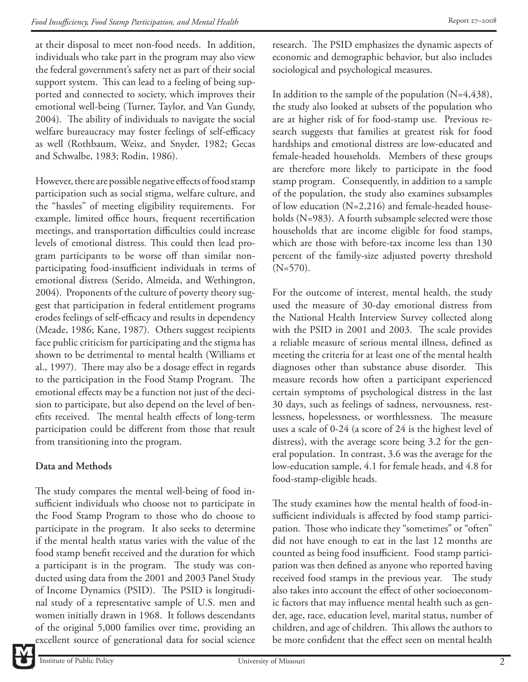at their disposal to meet non-food needs. In addition, individuals who take part in the program may also view the federal government's safety net as part of their social support system. This can lead to a feeling of being supported and connected to society, which improves their emotional well-being (Turner, Taylor, and Van Gundy, 2004). The ability of individuals to navigate the social welfare bureaucracy may foster feelings of self-efficacy as well (Rothbaum, Weisz, and Snyder, 1982; Gecas and Schwalbe, 1983; Rodin, 1986).

However, there are possible negative effects of food stamp participation such as social stigma, welfare culture, and the "hassles" of meeting eligibility requirements. For example, limited office hours, frequent recertification meetings, and transportation difficulties could increase levels of emotional distress. This could then lead program participants to be worse off than similar nonparticipating food-insufficient individuals in terms of emotional distress (Serido, Almeida, and Wethington, 2004). Proponents of the culture of poverty theory suggest that participation in federal entitlement programs erodes feelings of self-efficacy and results in dependency (Meade, 1986; Kane, 1987). Others suggest recipients face public criticism for participating and the stigma has shown to be detrimental to mental health (Williams et al., 1997). There may also be a dosage effect in regards to the participation in the Food Stamp Program. The emotional effects may be a function not just of the decision to participate, but also depend on the level of benefits received. The mental health effects of long-term participation could be different from those that result from transitioning into the program.

## **Data and Methods**

The study compares the mental well-being of food insufficient individuals who choose not to participate in the Food Stamp Program to those who do choose to participate in the program. It also seeks to determine if the mental health status varies with the value of the food stamp benefit received and the duration for which a participant is in the program. The study was conducted using data from the 2001 and 2003 Panel Study of Income Dynamics (PSID). The PSID is longitudinal study of a representative sample of U.S. men and women initially drawn in 1968. It follows descendants of the original 5,000 families over time, providing an excellent source of generational data for social science

research. The PSID emphasizes the dynamic aspects of economic and demographic behavior, but also includes sociological and psychological measures.

In addition to the sample of the population  $(N=4,438)$ , the study also looked at subsets of the population who are at higher risk of for food-stamp use. Previous research suggests that families at greatest risk for food hardships and emotional distress are low-educated and female-headed households. Members of these groups are therefore more likely to participate in the food stamp program. Consequently, in addition to a sample of the population, the study also examines subsamples of low education (N=2,216) and female-headed households (N=983). A fourth subsample selected were those households that are income eligible for food stamps, which are those with before-tax income less than 130 percent of the family-size adjusted poverty threshold  $(N=570)$ .

For the outcome of interest, mental health, the study used the measure of 30-day emotional distress from the National Health Interview Survey collected along with the PSID in 2001 and 2003. The scale provides a reliable measure of serious mental illness, defined as meeting the criteria for at least one of the mental health diagnoses other than substance abuse disorder. This measure records how often a participant experienced certain symptoms of psychological distress in the last 30 days, such as feelings of sadness, nervousness, restlessness, hopelessness, or worthlessness. The measure uses a scale of 0-24 (a score of 24 is the highest level of distress), with the average score being 3.2 for the general population. In contrast, 3.6 was the average for the low-education sample, 4.1 for female heads, and 4.8 for food-stamp-eligible heads.

The study examines how the mental health of food-insufficient individuals is affected by food stamp participation. Those who indicate they "sometimes" or "often" did not have enough to eat in the last 12 months are counted as being food insufficient. Food stamp participation was then defined as anyone who reported having received food stamps in the previous year. The study also takes into account the effect of other socioeconomic factors that may influence mental health such as gender, age, race, education level, marital status, number of children, and age of children. This allows the authors to be more confident that the effect seen on mental health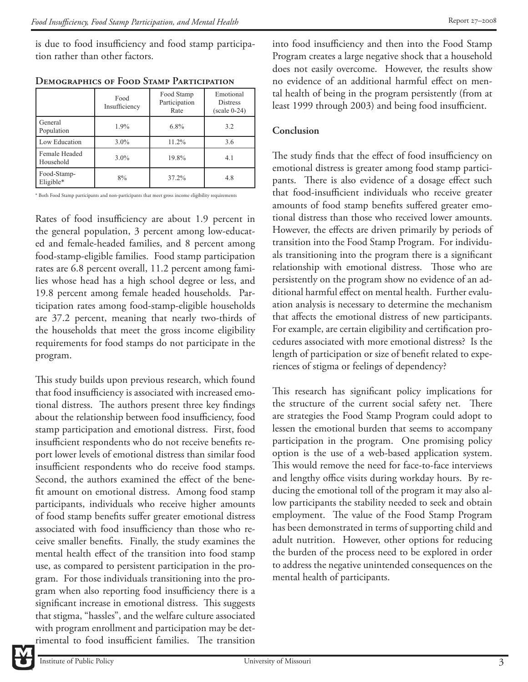is due to food insufficiency and food stamp participation rather than other factors.

|                            | Food<br>Insufficiency | Food Stamp<br>Participation<br>Rate | Emotional<br><b>Distress</b><br>$(scale 0-24)$ |
|----------------------------|-----------------------|-------------------------------------|------------------------------------------------|
| General<br>Population      | $1.9\%$               | $6.8\%$                             | 3.2                                            |
| Low Education              | $3.0\%$               | $11.2\%$                            | 3.6                                            |
| Female Headed<br>Household | $3.0\%$               | 19.8%                               | 4.1                                            |
| Food-Stamp-<br>Eligible*   | 8%                    | 37.2%                               | 4.8                                            |

| <b>DEMOGRAPHICS OF FOOD STAMP PARTICIPATION</b> |
|-------------------------------------------------|
|                                                 |

\* Both Food Stamp participants and non-participants that meet gross income eligibility requirements

Rates of food insufficiency are about 1.9 percent in the general population, 3 percent among low-educated and female-headed families, and 8 percent among food-stamp-eligible families. Food stamp participation rates are 6.8 percent overall, 11.2 percent among families whose head has a high school degree or less, and 19.8 percent among female headed households. Participation rates among food-stamp-eligible households are 37.2 percent, meaning that nearly two-thirds of the households that meet the gross income eligibility requirements for food stamps do not participate in the program.

This study builds upon previous research, which found that food insufficiency is associated with increased emotional distress. The authors present three key findings about the relationship between food insufficiency, food stamp participation and emotional distress. First, food insufficient respondents who do not receive benefits report lower levels of emotional distress than similar food insufficient respondents who do receive food stamps. Second, the authors examined the effect of the benefit amount on emotional distress. Among food stamp participants, individuals who receive higher amounts of food stamp benefits suffer greater emotional distress associated with food insufficiency than those who receive smaller benefits. Finally, the study examines the mental health effect of the transition into food stamp use, as compared to persistent participation in the program. For those individuals transitioning into the program when also reporting food insufficiency there is a significant increase in emotional distress. This suggests that stigma, "hassles", and the welfare culture associated with program enrollment and participation may be detrimental to food insufficient families. The transition

into food insufficiency and then into the Food Stamp Program creates a large negative shock that a household does not easily overcome. However, the results show no evidence of an additional harmful effect on mental health of being in the program persistently (from at least 1999 through 2003) and being food insufficient.

#### **Conclusion**

The study finds that the effect of food insufficiency on emotional distress is greater among food stamp participants. There is also evidence of a dosage effect such that food-insufficient individuals who receive greater amounts of food stamp benefits suffered greater emotional distress than those who received lower amounts. However, the effects are driven primarily by periods of transition into the Food Stamp Program. For individuals transitioning into the program there is a significant relationship with emotional distress. Those who are persistently on the program show no evidence of an additional harmful effect on mental health. Further evaluation analysis is necessary to determine the mechanism that affects the emotional distress of new participants. For example, are certain eligibility and certification procedures associated with more emotional distress? Is the length of participation or size of benefit related to experiences of stigma or feelings of dependency?

This research has significant policy implications for the structure of the current social safety net. There are strategies the Food Stamp Program could adopt to lessen the emotional burden that seems to accompany participation in the program. One promising policy option is the use of a web-based application system. This would remove the need for face-to-face interviews and lengthy office visits during workday hours. By reducing the emotional toll of the program it may also allow participants the stability needed to seek and obtain employment. The value of the Food Stamp Program has been demonstrated in terms of supporting child and adult nutrition. However, other options for reducing the burden of the process need to be explored in order to address the negative unintended consequences on the mental health of participants.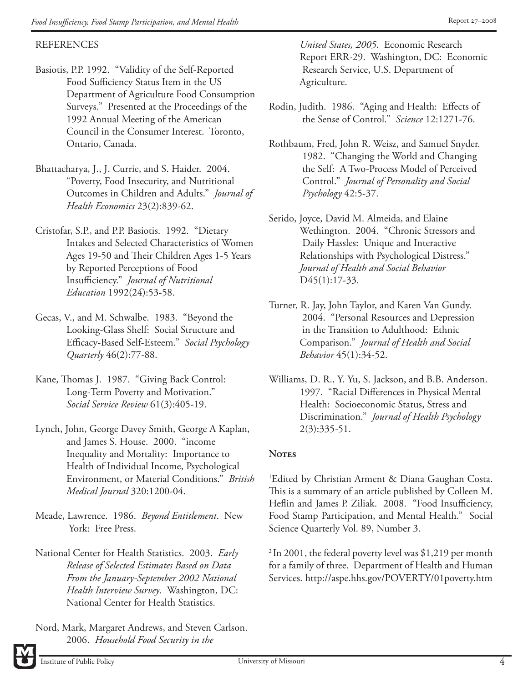#### REFERENCES

- Basiotis, P.P. 1992. "Validity of the Self-Reported Food Sufficiency Status Item in the US Department of Agriculture Food Consumption Surveys." Presented at the Proceedings of the 1992 Annual Meeting of the American Council in the Consumer Interest. Toronto, Ontario, Canada.
- Bhattacharya, J., J. Currie, and S. Haider. 2004. "Poverty, Food Insecurity, and Nutritional Outcomes in Children and Adults." *Journal of Health Economics* 23(2):839-62.
- Cristofar, S.P., and P.P. Basiotis. 1992. "Dietary Intakes and Selected Characteristics of Women Ages 19-50 and Their Children Ages 1-5 Years by Reported Perceptions of Food Insuffi ciency." *Journal of Nutritional Education* 1992(24):53-58.
- Gecas, V., and M. Schwalbe. 1983. "Beyond the Looking-Glass Shelf: Social Structure and Effi cacy-Based Self-Esteem." *Social Psychology Quarterly* 46(2):77-88.
- Kane, Thomas J. 1987. "Giving Back Control: Long-Term Poverty and Motivation." *Social Service Review* 61(3):405-19.
- Lynch, John, George Davey Smith, George A Kaplan, and James S. House. 2000. "income Inequality and Mortality: Importance to Health of Individual Income, Psychological Environment, or Material Conditions." *British Medical Journal* 320:1200-04.
- Meade, Lawrence. 1986. *Beyond Entitlement*. New York: Free Press.
- National Center for Health Statistics. 2003. *Early Release of Selected Estimates Based on Data From the January-September 2002 National Health Interview Survey*. Washington, DC: National Center for Health Statistics.
- Nord, Mark, Margaret Andrews, and Steven Carlson. 2006. *Household Food Security in the*

 *United States, 2005*. Economic Research Report ERR-29. Washington, DC: Economic Research Service, U.S. Department of Agriculture.

- Rodin, Judith. 1986. "Aging and Health: Effects of the Sense of Control." *Science* 12:1271-76.
- Rothbaum, Fred, John R. Weisz, and Samuel Snyder. 1982. "Changing the World and Changing the Self: A Two-Process Model of Perceived Control." *Journal of Personality and Social Psychology* 42:5-37.
- Serido, Joyce, David M. Almeida, and Elaine Wethington. 2004. "Chronic Stressors and Daily Hassles: Unique and Interactive Relationships with Psychological Distress." *Journal of Health and Social Behavior*  D<sub>45</sub>(1):17-33.
- Turner, R. Jay, John Taylor, and Karen Van Gundy. 2004. "Personal Resources and Depression in the Transition to Adulthood: Ethnic Comparison." *Journal of Health and Social Behavior* 45(1):34-52.
- Williams, D. R., Y. Yu, S. Jackson, and B.B. Anderson. 1997. "Racial Differences in Physical Mental Health: Socioeconomic Status, Stress and Discrimination." *Journal of Health Psychology* 2(3):335-51.

### Notes

1 Edited by Christian Arment & Diana Gaughan Costa. This is a summary of an article published by Colleen M. Heflin and James P. Ziliak. 2008. "Food Insufficiency, Food Stamp Participation, and Mental Health." Social Science Quarterly Vol. 89, Number 3.

 $2 \ln 2001$ , the federal poverty level was \$1,219 per month for a family of three. Department of Health and Human Services. http://aspe.hhs.gov/POVERTY/01poverty.htm